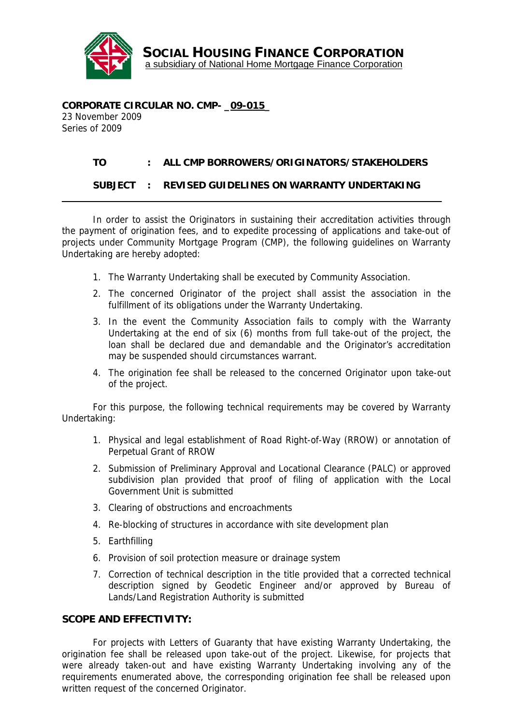

SOCIAL HOUSING FINANCE CORPORATION a subsidiary of National Home Mortgage Finance Corporation

**CORPORATE CIRCULAR NO. CMP- \_09-015\_** 23 November 2009 Series of 2009

## **TO : ALL CMP BORROWERS/ORIGINATORS/STAKEHOLDERS**

## **SUBJECT : REVISED GUIDELINES ON WARRANTY UNDERTAKING**

In order to assist the Originators in sustaining their accreditation activities through the payment of origination fees, and to expedite processing of applications and take-out of projects under Community Mortgage Program (CMP), the following guidelines on Warranty Undertaking are hereby adopted:

- 1. The Warranty Undertaking shall be executed by Community Association.
- 2. The concerned Originator of the project shall assist the association in the fulfillment of its obligations under the Warranty Undertaking.
- 3. In the event the Community Association fails to comply with the Warranty Undertaking at the end of six (6) months from full take-out of the project, the loan shall be declared due and demandable and the Originator's accreditation may be suspended should circumstances warrant.
- 4. The origination fee shall be released to the concerned Originator upon take-out of the project.

For this purpose, the following technical requirements may be covered by Warranty Undertaking:

- 1. Physical and legal establishment of Road Right-of-Way (RROW) or annotation of Perpetual Grant of RROW
- 2. Submission of Preliminary Approval and Locational Clearance (PALC) or approved subdivision plan provided that proof of filing of application with the Local Government Unit is submitted
- 3. Clearing of obstructions and encroachments
- 4. Re-blocking of structures in accordance with site development plan
- 5. Earthfilling
- 6. Provision of soil protection measure or drainage system
- 7. Correction of technical description in the title provided that a corrected technical description signed by Geodetic Engineer and/or approved by Bureau of Lands/Land Registration Authority is submitted

## **SCOPE AND EFFECTIVITY:**

For projects with Letters of Guaranty that have existing Warranty Undertaking, the origination fee shall be released upon take-out of the project. Likewise, for projects that were already taken-out and have existing Warranty Undertaking involving any of the requirements enumerated above, the corresponding origination fee shall be released upon written request of the concerned Originator.